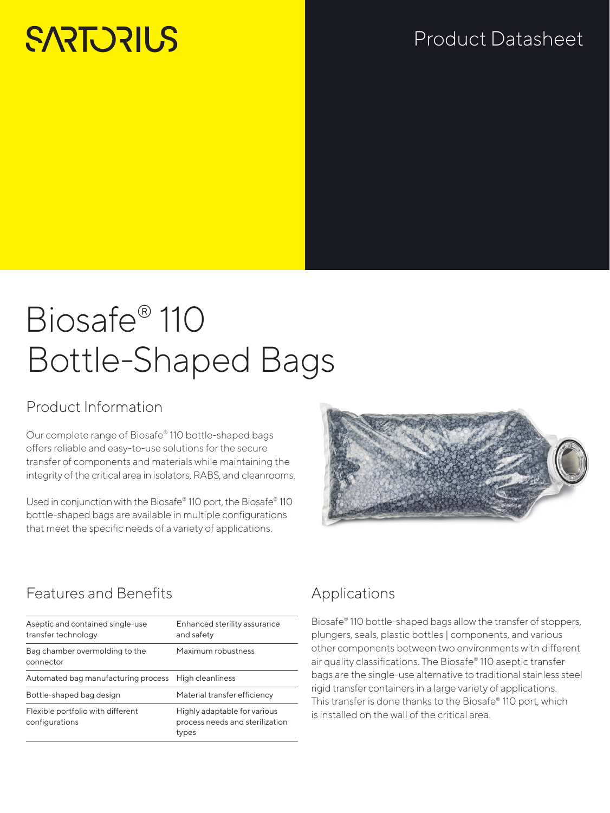# **SARTORILS**

# Product Datasheet

# Biosafe® 110 Bottle-Shaped Bags

## Product Information

Our complete range of Biosafe® 110 bottle-shaped bags offers reliable and easy-to-use solutions for the secure transfer of components and materials while maintaining the integrity of the critical area in isolators, RABS, and cleanrooms.

Used in conjunction with the Biosafe® 110 port, the Biosafe® 110 bottle-shaped bags are available in multiple configurations that meet the specific needs of a variety of applications.



## Features and Benefits

| Aseptic and contained single-use<br>transfer technology | Enhanced sterility assurance<br>and safety                               |
|---------------------------------------------------------|--------------------------------------------------------------------------|
| Bag chamber overmolding to the<br>connector             | Maximum robustness                                                       |
| Automated bag manufacturing process                     | High cleanliness                                                         |
| Bottle-shaped bag design                                | Material transfer efficiency                                             |
| Flexible portfolio with different<br>configurations     | Highly adaptable for various<br>process needs and sterilization<br>types |
|                                                         |                                                                          |

## Applications

Biosafe® 110 bottle-shaped bags allow the transfer of stoppers, plungers, seals, plastic bottles | components, and various other components between two environments with different air quality classifications. The Biosafe® 110 aseptic transfer bags are the single-use alternative to traditional stainless steel rigid transfer containers in a large variety of applications. This transfer is done thanks to the Biosafe® 110 port, which is installed on the wall of the critical area.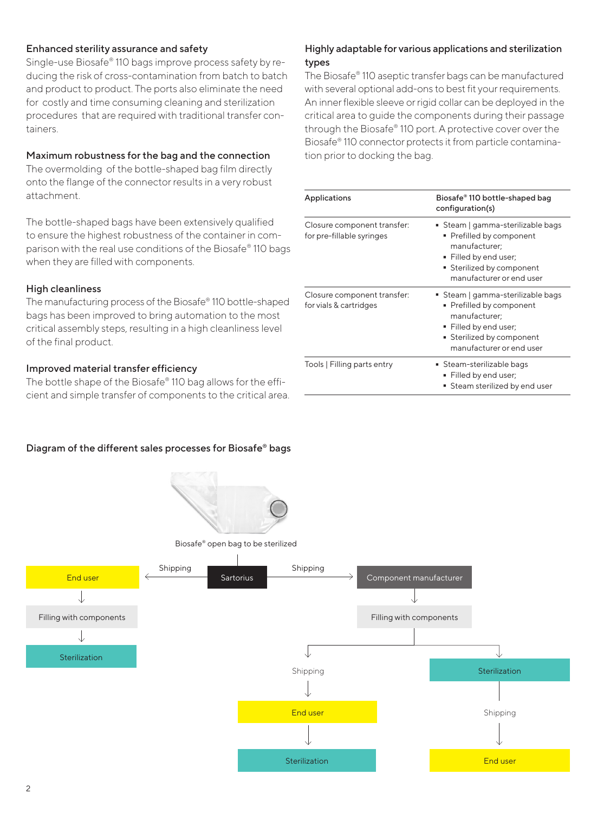#### Enhanced sterility assurance and safety

Single-use Biosafe® 110 bags improve process safety by reducing the risk of cross-contamination from batch to batch and product to product. The ports also eliminate the need for costly and time consuming cleaning and sterilization procedures that are required with traditional transfer containers.

#### Maximum robustness for the bag and the connection

The overmolding of the bottle-shaped bag film directly onto the flange of the connector results in a very robust attachment.

The bottle-shaped bags have been extensively qualified to ensure the highest robustness of the container in comparison with the real use conditions of the Biosafe® 110 bags when they are filled with components.

#### High cleanliness

The manufacturing process of the Biosafe® 110 bottle-shaped bags has been improved to bring automation to the most critical assembly steps, resulting in a high cleanliness level of the final product.

#### Improved material transfer efficiency

The bottle shape of the Biosafe® 110 bag allows for the efficient and simple transfer of components to the critical area.

#### Highly adaptable for various applications and sterilization types

The Biosafe® 110 aseptic transfer bags can be manufactured with several optional add-ons to best fit your requirements. An inner flexible sleeve or rigid collar can be deployed in the critical area to guide the components during their passage through the Biosafe® 110 port. A protective cover over the Biosafe® 110 connector protects it from particle contamination prior to docking the bag.

| Applications                                             | Biosafe® 110 bottle-shaped bag<br>configuration(s)                                                                                                             |
|----------------------------------------------------------|----------------------------------------------------------------------------------------------------------------------------------------------------------------|
| Closure component transfer:<br>for pre-fillable syringes | ■ Steam   gamma-sterilizable bags<br>■ Prefilled by component<br>manufacturer:<br>Filled by end user;<br>Sterilized by component<br>manufacturer or end user   |
| Closure component transfer:<br>for vials & cartridges    | ■ Steam   gamma-sterilizable bags<br>• Prefilled by component<br>manufacturer:<br>Filled by end user;<br>■ Sterilized by component<br>manufacturer or end user |
| Tools   Filling parts entry                              | ■ Steam-sterilizable bags<br>Filled by end user;<br>Steam sterilized by end user                                                                               |

#### Diagram of the different sales processes for Biosafe® bags

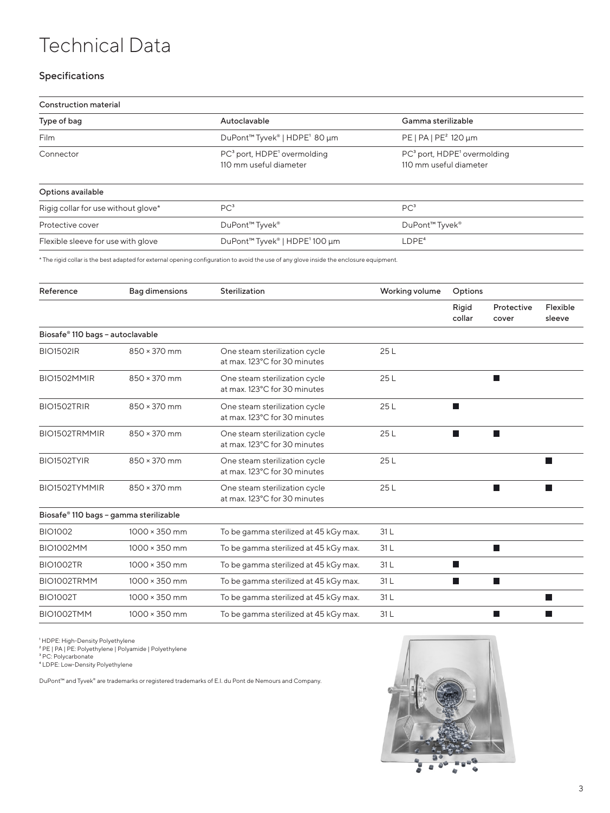## Technical Data

#### Specifications

| Construction material               |                                                                               |                                                                               |  |  |  |
|-------------------------------------|-------------------------------------------------------------------------------|-------------------------------------------------------------------------------|--|--|--|
| Type of bag                         | Autoclavable                                                                  | Gamma sterilizable                                                            |  |  |  |
| <b>Film</b>                         | DuPont <sup>™</sup> Tyvek <sup>®</sup>   HDPE <sup>1</sup> 80 µm              | PE   PA   PE <sup>2</sup> 120 µm                                              |  |  |  |
| Connector                           | PC <sup>3</sup> port, HDPE <sup>1</sup> overmolding<br>110 mm useful diameter | PC <sup>3</sup> port, HDPE <sup>1</sup> overmolding<br>110 mm useful diameter |  |  |  |
| Options available                   |                                                                               |                                                                               |  |  |  |
| Rigig collar for use without glove* | PC <sup>3</sup>                                                               | PC <sup>3</sup>                                                               |  |  |  |
| Protective cover                    | DuPont <sup>™</sup> Tyvek <sup>®</sup>                                        | DuPont <sup>™</sup> Tyvek <sup>®</sup>                                        |  |  |  |
| Flexible sleeve for use with glove  | DuPont <sup>™</sup> Tyvek®   HDPE <sup>1</sup> 100 µm                         | $L$ DPE <sup>4</sup>                                                          |  |  |  |

\* The rigid collar is the best adapted for external opening configuration to avoid the use of any glove inside the enclosure equipment.

| Reference                              | <b>Bag dimensions</b> | Sterilization                                                 | Working volume | Options         |                     |                    |
|----------------------------------------|-----------------------|---------------------------------------------------------------|----------------|-----------------|---------------------|--------------------|
|                                        |                       |                                                               |                | Rigid<br>collar | Protective<br>cover | Flexible<br>sleeve |
| Biosafe® 110 bags - autoclavable       |                       |                                                               |                |                 |                     |                    |
| <b>BIO1502IR</b>                       | 850 × 370 mm          | One steam sterilization cycle<br>at max. 123°C for 30 minutes | 25L            |                 |                     |                    |
| BIO1502MMIR                            | 850 × 370 mm          | One steam sterilization cycle<br>at max. 123°C for 30 minutes | 25L            |                 |                     |                    |
| BIO1502TRIR                            | 850 × 370 mm          | One steam sterilization cycle<br>at max. 123°C for 30 minutes | 25L            |                 |                     |                    |
| BIO1502TRMMIR                          | 850 × 370 mm          | One steam sterilization cycle<br>at max. 123°C for 30 minutes | 25L            | a ka            |                     |                    |
| BIO1502TYIR                            | 850 × 370 mm          | One steam sterilization cycle<br>at max. 123°C for 30 minutes | 25L            |                 |                     |                    |
| BIO1502TYMMIR                          | 850 × 370 mm          | One steam sterilization cycle<br>at max. 123°C for 30 minutes | 25L            |                 |                     |                    |
| Biosafe® 110 bags - gamma sterilizable |                       |                                                               |                |                 |                     |                    |
| <b>BIO1002</b>                         | $1000 \times 350$ mm  | To be gamma sterilized at 45 kGy max.                         | 31L            |                 |                     |                    |
| <b>BIO1002MM</b>                       | $1000 \times 350$ mm  | To be gamma sterilized at 45 kGy max.                         | 31L            |                 |                     |                    |
| <b>BIO1002TR</b>                       | $1000 \times 350$ mm  | To be gamma sterilized at 45 kGy max.                         | 31L            | Ш               |                     |                    |
| BIO1002TRMM                            | $1000 \times 350$ mm  | To be gamma sterilized at 45 kGy max.                         | 31L            | m.              | <b>The State</b>    |                    |
| <b>BIO1002T</b>                        | $1000 \times 350$ mm  | To be gamma sterilized at 45 kGy max.                         | 31 L           |                 |                     |                    |
| BIO1002TMM                             | $1000 \times 350$ mm  | To be gamma sterilized at 45 kGy max.                         | 31L            |                 |                     |                    |

† HDPE: High-Density Polyethylene<br>† PE | PA | PE: Polyethylene | Polyamide | Polyethylene<br>† PC: Polycarbonate<br>† LDPE: Low-Density Polyethylene

DuPont™ and Tyvek® are trademarks or registered trademarks of E.I. du Pont de Nemours and Company.